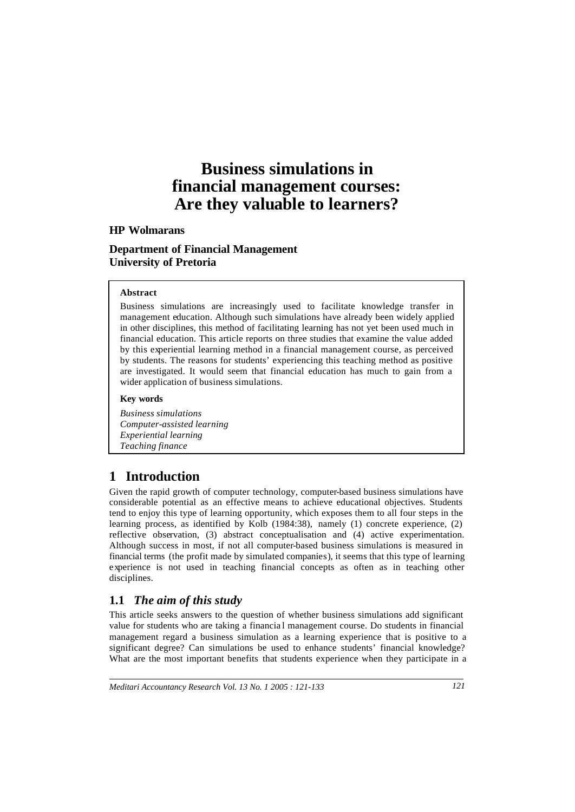# **Business simulations in financial management courses: Are they valuable to learners?**

#### **HP Wolmarans**

**Department of Financial Management University of Pretoria**

#### **Abstract**

Business simulations are increasingly used to facilitate knowledge transfer in management education. Although such simulations have already been widely applied in other disciplines, this method of facilitating learning has not yet been used much in financial education. This article reports on three studies that examine the value added by this experiential learning method in a financial management course, as perceived by students. The reasons for students' experiencing this teaching method as positive are investigated. It would seem that financial education has much to gain from a wider application of business simulations.

#### **Key words**

*Business simulations Computer-assisted learning Experiential learning Teaching finance*

## **1 Introduction**

Given the rapid growth of computer technology, computer-based business simulations have considerable potential as an effective means to achieve educational objectives. Students tend to enjoy this type of learning opportunity, which exposes them to all four steps in the learning process, as identified by Kolb (1984:38), namely (1) concrete experience, (2) reflective observation, (3) abstract conceptualisation and (4) active experimentation. Although success in most, if not all computer-based business simulations is measured in financial terms (the profit made by simulated companies), it seems that this type of learning experience is not used in teaching financial concepts as often as in teaching other disciplines.

#### **1.1** *The aim of this study*

This article seeks answers to the question of whether business simulations add significant value for students who are taking a financia l management course. Do students in financial management regard a business simulation as a learning experience that is positive to a significant degree? Can simulations be used to enhance students' financial knowledge? What are the most important benefits that students experience when they participate in a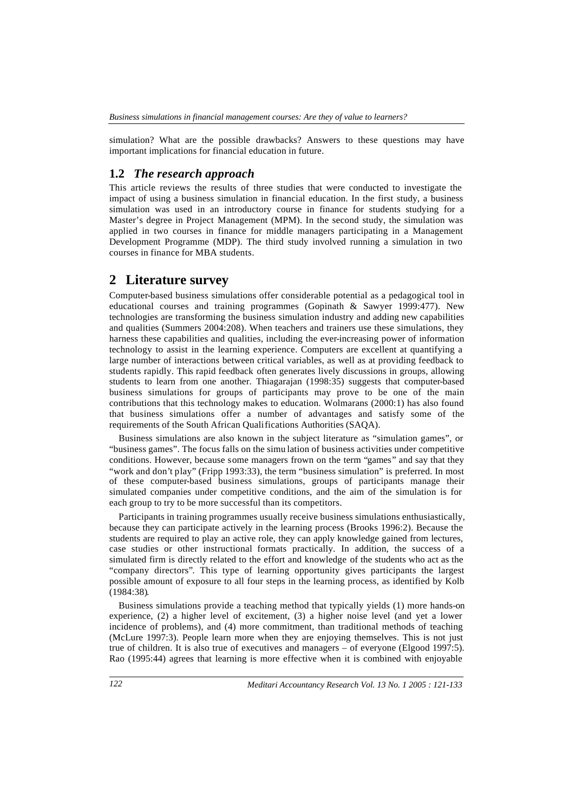simulation? What are the possible drawbacks? Answers to these questions may have important implications for financial education in future.

#### **1.2** *The research approach*

This article reviews the results of three studies that were conducted to investigate the impact of using a business simulation in financial education. In the first study, a business simulation was used in an introductory course in finance for students studying for a Master's degree in Project Management (MPM). In the second study, the simulation was applied in two courses in finance for middle managers participating in a Management Development Programme (MDP). The third study involved running a simulation in two courses in finance for MBA students.

### **2 Literature survey**

Computer-based business simulations offer considerable potential as a pedagogical tool in educational courses and training programmes (Gopinath & Sawyer 1999:477). New technologies are transforming the business simulation industry and adding new capabilities and qualities (Summers 2004:208). When teachers and trainers use these simulations, they harness these capabilities and qualities, including the ever-increasing power of information technology to assist in the learning experience. Computers are excellent at quantifying a large number of interactions between critical variables, as well as at providing feedback to students rapidly. This rapid feedback often generates lively discussions in groups, allowing students to learn from one another. Thiagarajan (1998:35) suggests that computer-based business simulations for groups of participants may prove to be one of the main contributions that this technology makes to education. Wolmarans (2000:1) has also found that business simulations offer a number of advantages and satisfy some of the requirements of the South African Qualifications Authorities (SAQA).

Business simulations are also known in the subject literature as "simulation games", or "business games". The focus falls on the simu lation of business activities under competitive conditions. However, because some managers frown on the term "games" and say that they "work and don't play" (Fripp 1993:33), the term "business simulation" is preferred. In most of these computer-based business simulations, groups of participants manage their simulated companies under competitive conditions, and the aim of the simulation is for each group to try to be more successful than its competitors.

Participants in training programmes usually receive business simulations enthusiastically, because they can participate actively in the learning process (Brooks 1996:2). Because the students are required to play an active role, they can apply knowledge gained from lectures, case studies or other instructional formats practically. In addition, the success of a simulated firm is directly related to the effort and knowledge of the students who act as the "company directors". This type of learning opportunity gives participants the largest possible amount of exposure to all four steps in the learning process, as identified by Kolb (1984:38).

Business simulations provide a teaching method that typically yields (1) more hands-on experience, (2) a higher level of excitement, (3) a higher noise level (and yet a lower incidence of problems), and (4) more commitment, than traditional methods of teaching (McLure 1997:3). People learn more when they are enjoying themselves. This is not just true of children. It is also true of executives and managers – of everyone (Elgood 1997:5). Rao (1995:44) agrees that learning is more effective when it is combined with enjoyable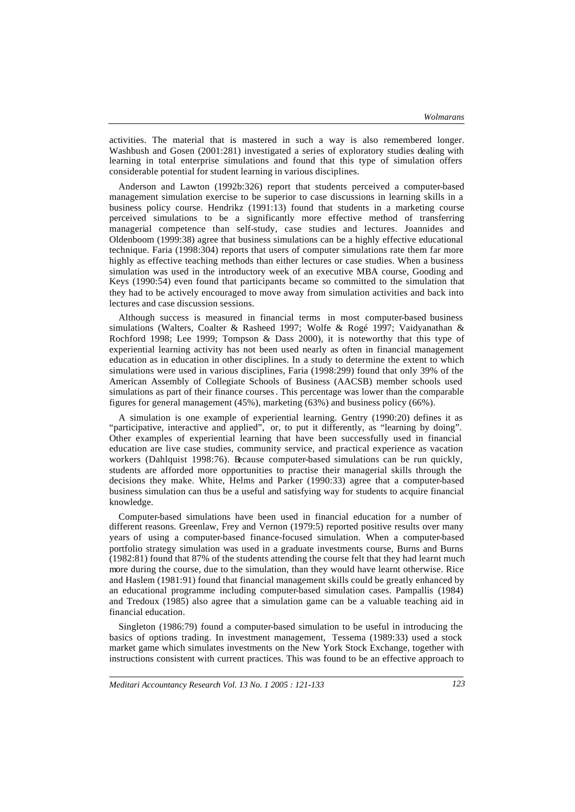activities. The material that is mastered in such a way is also remembered longer. Washbush and Gosen (2001:281) investigated a series of exploratory studies dealing with learning in total enterprise simulations and found that this type of simulation offers considerable potential for student learning in various disciplines.

Anderson and Lawton (1992b:326) report that students perceived a computer-based management simulation exercise to be superior to case discussions in learning skills in a business policy course. Hendrikz (1991:13) found that students in a marketing course perceived simulations to be a significantly more effective method of transferring managerial competence than self-study, case studies and lectures. Joannides and Oldenboom (1999:38) agree that business simulations can be a highly effective educational technique. Faria (1998:304) reports that users of computer simulations rate them far more highly as effective teaching methods than either lectures or case studies. When a business simulation was used in the introductory week of an executive MBA course, Gooding and Keys (1990:54) even found that participants became so committed to the simulation that they had to be actively encouraged to move away from simulation activities and back into lectures and case discussion sessions.

Although success is measured in financial terms in most computer-based business simulations (Walters, Coalter & Rasheed 1997; Wolfe & Rogé 1997; Vaidyanathan & Rochford 1998; Lee 1999; Tompson & Dass 2000), it is noteworthy that this type of experiential learning activity has not been used nearly as often in financial management education as in education in other disciplines. In a study to determine the extent to which simulations were used in various disciplines, Faria (1998:299) found that only 39% of the American Assembly of Collegiate Schools of Business (AACSB) member schools used simulations as part of their finance courses. This percentage was lower than the comparable figures for general management (45%), marketing (63%) and business policy (66%).

A simulation is one example of experiential learning. Gentry (1990:20) defines it as "participative, interactive and applied", or, to put it differently, as "learning by doing". Other examples of experiential learning that have been successfully used in financial education are live case studies, community service, and practical experience as vacation workers (Dahlquist 1998:76). Because computer-based simulations can be run quickly, students are afforded more opportunities to practise their managerial skills through the decisions they make. White, Helms and Parker (1990:33) agree that a computer-based business simulation can thus be a useful and satisfying way for students to acquire financial knowledge.

Computer-based simulations have been used in financial education for a number of different reasons. Greenlaw, Frey and Vernon (1979:5) reported positive results over many years of using a computer-based finance-focused simulation. When a computer-based portfolio strategy simulation was used in a graduate investments course, Burns and Burns (1982:81) found that 87% of the students attending the course felt that they had learnt much more during the course, due to the simulation, than they would have learnt otherwise. Rice and Haslem (1981:91) found that financial management skills could be greatly enhanced by an educational programme including computer-based simulation cases. Pampallis (1984) and Tredoux (1985) also agree that a simulation game can be a valuable teaching aid in financial education.

Singleton (1986:79) found a computer-based simulation to be useful in introducing the basics of options trading. In investment management, Tessema (1989:33) used a stock market game which simulates investments on the New York Stock Exchange, together with instructions consistent with current practices. This was found to be an effective approach to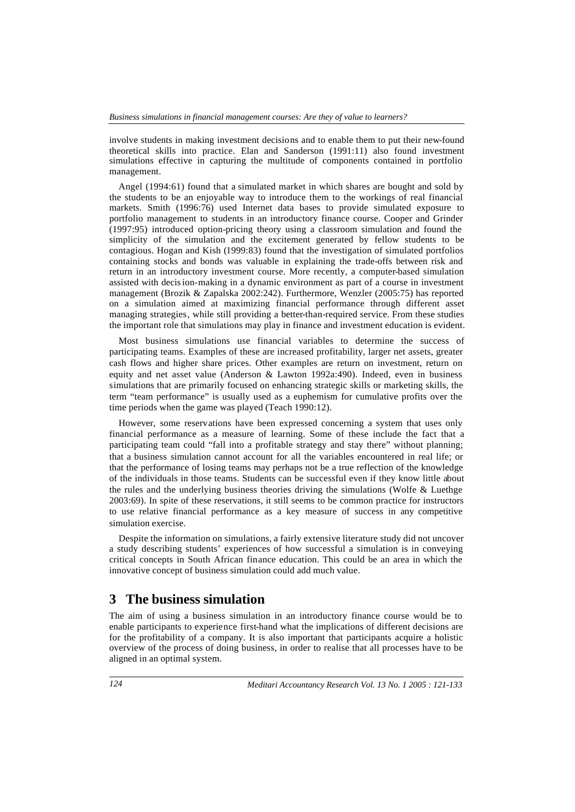involve students in making investment decisions and to enable them to put their new-found theoretical skills into practice. Elan and Sanderson (1991:11) also found investment simulations effective in capturing the multitude of components contained in portfolio management.

Angel (1994:61) found that a simulated market in which shares are bought and sold by the students to be an enjoyable way to introduce them to the workings of real financial markets. Smith (1996:76) used Internet data bases to provide simulated exposure to portfolio management to students in an introductory finance course. Cooper and Grinder (1997:95) introduced option-pricing theory using a classroom simulation and found the simplicity of the simulation and the excitement generated by fellow students to be contagious. Hogan and Kish (1999:83) found that the investigation of simulated portfolios containing stocks and bonds was valuable in explaining the trade-offs between risk and return in an introductory investment course. More recently, a computer-based simulation assisted with decision-making in a dynamic environment as part of a course in investment management (Brozik & Zapalska 2002:242). Furthermore, Wenzler (2005:75) has reported on a simulation aimed at maximizing financial performance through different asset managing strategies, while still providing a better-than-required service. From these studies the important role that simulations may play in finance and investment education is evident.

Most business simulations use financial variables to determine the success of participating teams. Examples of these are increased profitability, larger net assets, greater cash flows and higher share prices. Other examples are return on investment, return on equity and net asset value (Anderson & Lawton 1992a:490). Indeed, even in business simulations that are primarily focused on enhancing strategic skills or marketing skills, the term "team performance" is usually used as a euphemism for cumulative profits over the time periods when the game was played (Teach 1990:12).

However, some reservations have been expressed concerning a system that uses only financial performance as a measure of learning. Some of these include the fact that a participating team could "fall into a profitable strategy and stay there" without planning; that a business simulation cannot account for all the variables encountered in real life; or that the performance of losing teams may perhaps not be a true reflection of the knowledge of the individuals in those teams. Students can be successful even if they know little about the rules and the underlying business theories driving the simulations (Wolfe & Luethge 2003:69). In spite of these reservations, it still seems to be common practice for instructors to use relative financial performance as a key measure of success in any competitive simulation exercise.

Despite the information on simulations, a fairly extensive literature study did not uncover a study describing students' experiences of how successful a simulation is in conveying critical concepts in South African finance education. This could be an area in which the innovative concept of business simulation could add much value.

### **3 The business simulation**

The aim of using a business simulation in an introductory finance course would be to enable participants to experience first-hand what the implications of different decisions are for the profitability of a company. It is also important that participants acquire a holistic overview of the process of doing business, in order to realise that all processes have to be aligned in an optimal system.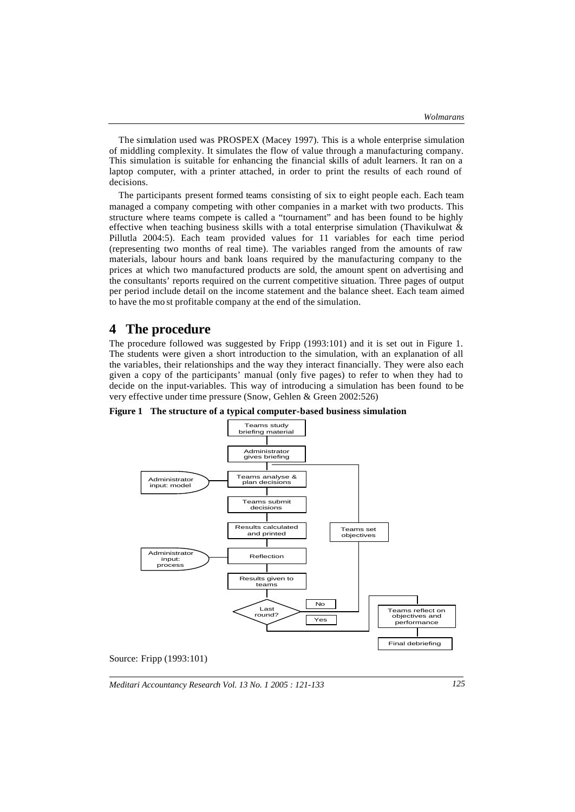The simulation used was PROSPEX (Macey 1997). This is a whole enterprise simulation of middling complexity. It simulates the flow of value through a manufacturing company. This simulation is suitable for enhancing the financial skills of adult learners. It ran on a laptop computer, with a printer attached, in order to print the results of each round of decisions.

The participants present formed teams consisting of six to eight people each. Each team managed a company competing with other companies in a market with two products. This structure where teams compete is called a "tournament" and has been found to be highly effective when teaching business skills with a total enterprise simulation (Thavikulwat & Pillutla 2004:5). Each team provided values for 11 variables for each time period (representing two months of real time). The variables ranged from the amounts of raw materials, labour hours and bank loans required by the manufacturing company to the prices at which two manufactured products are sold, the amount spent on advertising and the consultants' reports required on the current competitive situation. Three pages of output per period include detail on the income statement and the balance sheet. Each team aimed to have the mo st profitable company at the end of the simulation.

#### **4 The procedure**

The procedure followed was suggested by Fripp (1993:101) and it is set out in Figure 1. The students were given a short introduction to the simulation, with an explanation of all the variables, their relationships and the way they interact financially. They were also each given a copy of the participants' manual (only five pages) to refer to when they had to decide on the input-variables. This way of introducing a simulation has been found to be very effective under time pressure (Snow, Gehlen & Green 2002:526)

**Figure 1 The structure of a typical computer-based business simulation**



Source: Fripp (1993:101)

*Meditari Accountancy Research Vol. 13 No. 1 2005 : 121-133 125*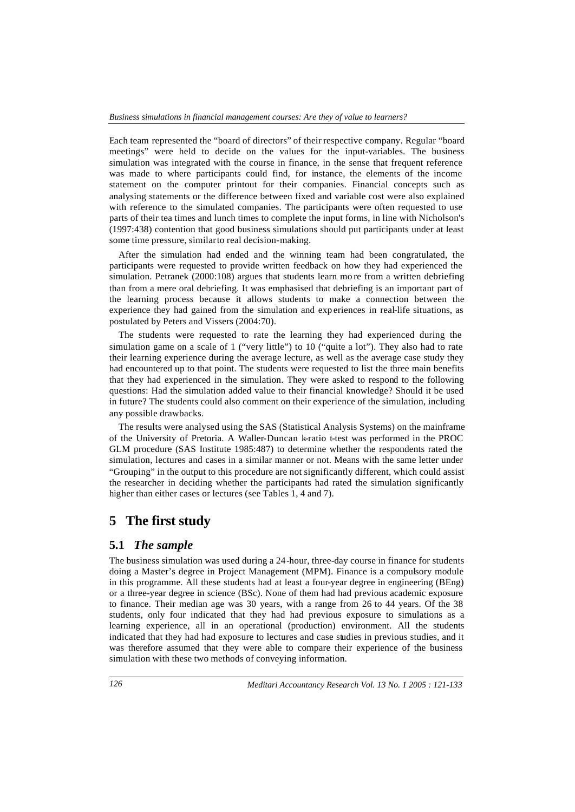Each team represented the "board of directors" of their respective company. Regular "board meetings" were held to decide on the values for the input-variables. The business simulation was integrated with the course in finance, in the sense that frequent reference was made to where participants could find, for instance, the elements of the income statement on the computer printout for their companies. Financial concepts such as analysing statements or the difference between fixed and variable cost were also explained with reference to the simulated companies. The participants were often requested to use parts of their tea times and lunch times to complete the input forms, in line with Nicholson's (1997:438) contention that good business simulations should put participants under at least some time pressure, similar to real decision-making.

After the simulation had ended and the winning team had been congratulated, the participants were requested to provide written feedback on how they had experienced the simulation. Petranek (2000:108) argues that students learn mo re from a written debriefing than from a mere oral debriefing. It was emphasised that debriefing is an important part of the learning process because it allows students to make a connection between the experience they had gained from the simulation and exp eriences in real-life situations, as postulated by Peters and Vissers (2004:70).

The students were requested to rate the learning they had experienced during the simulation game on a scale of 1 ("very little") to 10 ("quite a lot"). They also had to rate their learning experience during the average lecture, as well as the average case study they had encountered up to that point. The students were requested to list the three main benefits that they had experienced in the simulation. They were asked to respond to the following questions: Had the simulation added value to their financial knowledge? Should it be used in future? The students could also comment on their experience of the simulation, including any possible drawbacks.

The results were analysed using the SAS (Statistical Analysis Systems) on the mainframe of the University of Pretoria. A Waller-Duncan k-ratio t-test was performed in the PROC GLM procedure (SAS Institute 1985:487) to determine whether the respondents rated the simulation, lectures and cases in a similar manner or not. Means with the same letter under "Grouping" in the output to this procedure are not significantly different, which could assist the researcher in deciding whether the participants had rated the simulation significantly higher than either cases or lectures (see Tables 1, 4 and 7).

## **5 The first study**

#### **5.1** *The sample*

The business simulation was used during a 24-hour, three-day course in finance for students doing a Master's degree in Project Management (MPM). Finance is a compulsory module in this programme. All these students had at least a four-year degree in engineering (BEng) or a three-year degree in science (BSc). None of them had had previous academic exposure to finance. Their median age was 30 years, with a range from 26 to 44 years. Of the 38 students, only four indicated that they had had previous exposure to simulations as a learning experience, all in an operational (production) environment. All the students indicated that they had had exposure to lectures and case studies in previous studies, and it was therefore assumed that they were able to compare their experience of the business simulation with these two methods of conveying information.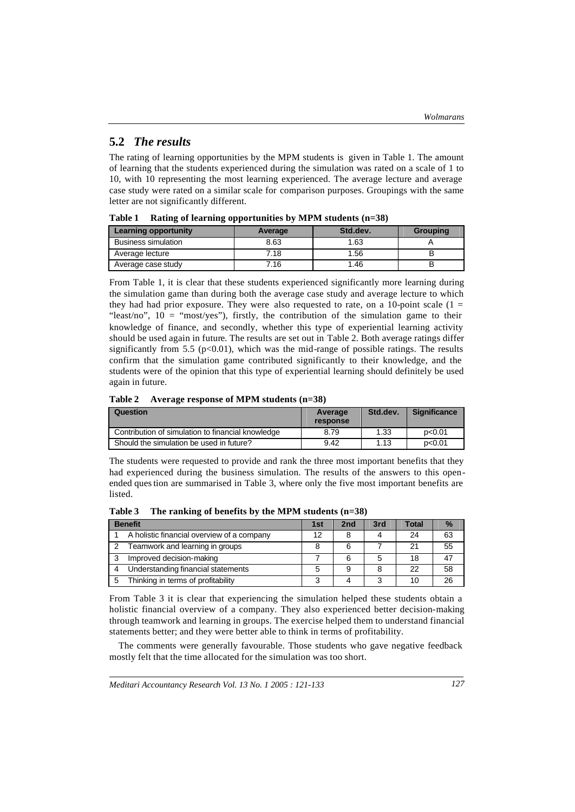#### **5.2** *The results*

The rating of learning opportunities by the MPM students is given in Table 1. The amount of learning that the students experienced during the simulation was rated on a scale of 1 to 10, with 10 representing the most learning experienced. The average lecture and average case study were rated on a similar scale for comparison purposes. Groupings with the same letter are not significantly different.

| <b>Learning opportunity</b> | Average | Std.dev. | <b>Grouping</b> |
|-----------------------------|---------|----------|-----------------|
| <b>Business simulation</b>  | 8.63    | 1.63     |                 |
| Average lecture             | 7.18    | 1.56     |                 |
| Average case study          | 7.16    | 1.46     |                 |

**Table 1 Rating of learning opportunities by MPM students (n=38)**

From Table 1, it is clear that these students experienced significantly more learning during the simulation game than during both the average case study and average lecture to which they had had prior exposure. They were also requested to rate, on a 10-point scale  $(1 =$ "least/no",  $10 =$  "most/yes"), firstly, the contribution of the simulation game to their knowledge of finance, and secondly, whether this type of experiential learning activity should be used again in future. The results are set out in Table 2. Both average ratings differ significantly from 5.5 ( $p<0.01$ ), which was the mid-range of possible ratings. The results confirm that the simulation game contributed significantly to their knowledge, and the students were of the opinion that this type of experiential learning should definitely be used again in future.

**Table 2 Average response of MPM students (n=38)**

| Question                                          | Average<br>response | Std.dev. | Significance |  |
|---------------------------------------------------|---------------------|----------|--------------|--|
| Contribution of simulation to financial knowledge | 8.79                | 1.33     | p<0.01       |  |
| Should the simulation be used in future?          | 9.42                | 1.13     | p<0.01       |  |

The students were requested to provide and rank the three most important benefits that they had experienced during the business simulation. The results of the answers to this openended question are summarised in Table 3, where only the five most important benefits are listed.

**Table 3 The ranking of benefits by the MPM students (n=38)**

| <b>Benefit</b>                             | 1st | 2 <sub>nd</sub> | 3rd | Total | $\frac{0}{0}$ |
|--------------------------------------------|-----|-----------------|-----|-------|---------------|
| A holistic financial overview of a company | 12  | 8               |     | 24    | 63            |
| Teamwork and learning in groups            |     | 6               |     | 21    | 55            |
| Improved decision-making                   |     | 6               |     | 18    |               |
| Understanding financial statements         | 5   | 9               |     | 22    | 58            |
| Thinking in terms of profitability         |     |                 | ົ   | 10    | 26            |

From Table 3 it is clear that experiencing the simulation helped these students obtain a holistic financial overview of a company. They also experienced better decision-making through teamwork and learning in groups. The exercise helped them to understand financial statements better; and they were better able to think in terms of profitability.

The comments were generally favourable. Those students who gave negative feedback mostly felt that the time allocated for the simulation was too short.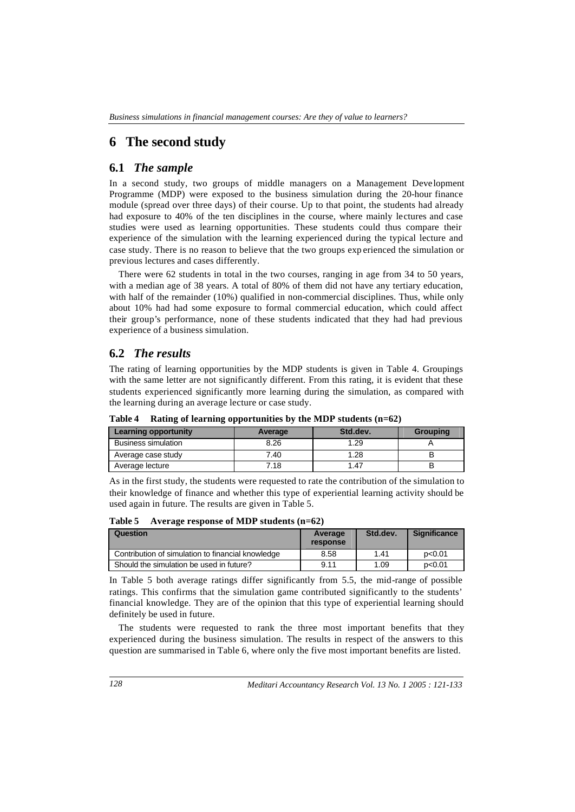# **6 The second study**

#### **6.1** *The sample*

In a second study, two groups of middle managers on a Management Development Programme (MDP) were exposed to the business simulation during the 20-hour finance module (spread over three days) of their course. Up to that point, the students had already had exposure to 40% of the ten disciplines in the course, where mainly lectures and case studies were used as learning opportunities. These students could thus compare their experience of the simulation with the learning experienced during the typical lecture and case study. There is no reason to believe that the two groups exp erienced the simulation or previous lectures and cases differently.

There were 62 students in total in the two courses, ranging in age from 34 to 50 years, with a median age of 38 years. A total of 80% of them did not have any tertiary education, with half of the remainder (10%) qualified in non-commercial disciplines. Thus, while only about 10% had had some exposure to formal commercial education, which could affect their group's performance, none of these students indicated that they had had previous experience of a business simulation.

### **6.2** *The results*

The rating of learning opportunities by the MDP students is given in Table 4. Groupings with the same letter are not significantly different. From this rating, it is evident that these students experienced significantly more learning during the simulation, as compared with the learning during an average lecture or case study.

| <b>Learning opportunity</b> | Average | Std.dev. | Grouping |
|-----------------------------|---------|----------|----------|
| <b>Business simulation</b>  | 8.26    | 1.29     |          |
| Average case study          | 7.40    | 1.28     |          |
| Average lecture             | 7.18    | 1.47     |          |

**Table 4 Rating of learning opportunities by the MDP students (n=62)**

As in the first study, the students were requested to rate the contribution of the simulation to their knowledge of finance and whether this type of experiential learning activity should be used again in future. The results are given in Table 5.

**Table 5 Average response of MDP students (n=62)**

| Question                                          | Average<br>response | Std.dev. | <b>Significance</b> |  |
|---------------------------------------------------|---------------------|----------|---------------------|--|
| Contribution of simulation to financial knowledge | 8.58                | 1.41     | p<0.01              |  |
| Should the simulation be used in future?          | 9.11                | 1.09     | p<0.01              |  |

In Table 5 both average ratings differ significantly from 5.5, the mid-range of possible ratings. This confirms that the simulation game contributed significantly to the students' financial knowledge. They are of the opinion that this type of experiential learning should definitely be used in future.

The students were requested to rank the three most important benefits that they experienced during the business simulation. The results in respect of the answers to this question are summarised in Table 6, where only the five most important benefits are listed.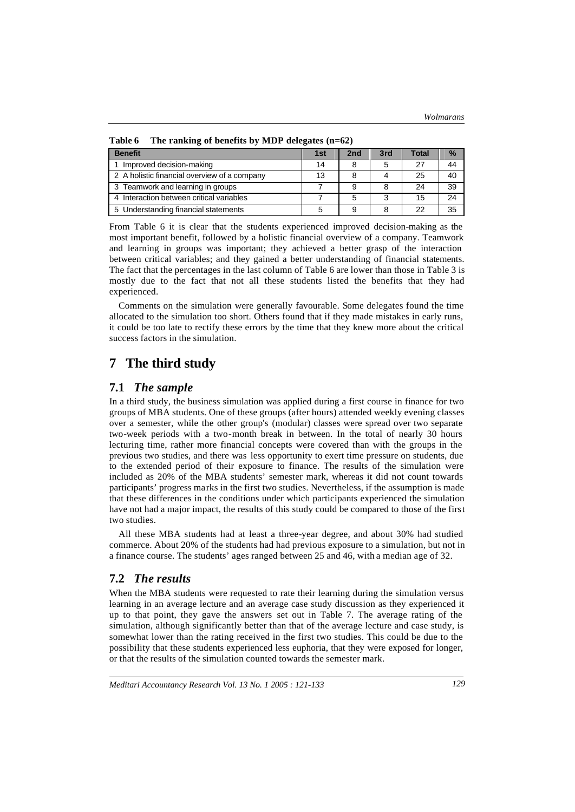| <b>Benefit</b>                               | 1st | 2 <sub>nd</sub> | 3rd | Total | $\frac{9}{6}$ |
|----------------------------------------------|-----|-----------------|-----|-------|---------------|
| Improved decision-making                     | 14  | 8               | 5   | 27    | 44            |
| 2 A holistic financial overview of a company | 13  | 8               |     | 25    | 40            |
| 3 Teamwork and learning in groups            |     | 9               | 8   | 24    | 39            |
| 4 Interaction between critical variables     |     | 5               | 3   | 15    | 24            |
| 5 Understanding financial statements         |     | 9               |     | 22    | 35            |

**Table 6 The ranking of benefits by MDP delegates (n=62)**

From Table 6 it is clear that the students experienced improved decision-making as the most important benefit, followed by a holistic financial overview of a company. Teamwork and learning in groups was important; they achieved a better grasp of the interaction between critical variables; and they gained a better understanding of financial statements. The fact that the percentages in the last column of Table 6 are lower than those in Table 3 is mostly due to the fact that not all these students listed the benefits that they had experienced.

Comments on the simulation were generally favourable. Some delegates found the time allocated to the simulation too short. Others found that if they made mistakes in early runs, it could be too late to rectify these errors by the time that they knew more about the critical success factors in the simulation.

# **7 The third study**

#### **7.1** *The sample*

In a third study, the business simulation was applied during a first course in finance for two groups of MBA students. One of these groups (after hours) attended weekly evening classes over a semester, while the other group's (modular) classes were spread over two separate two-week periods with a two-month break in between. In the total of nearly 30 hours lecturing time, rather more financial concepts were covered than with the groups in the previous two studies, and there was less opportunity to exert time pressure on students, due to the extended period of their exposure to finance. The results of the simulation were included as 20% of the MBA students' semester mark, whereas it did not count towards participants' progress marks in the first two studies. Nevertheless, if the assumption is made that these differences in the conditions under which participants experienced the simulation have not had a major impact, the results of this study could be compared to those of the first two studies.

All these MBA students had at least a three-year degree, and about 30% had studied commerce. About 20% of the students had had previous exposure to a simulation, but not in a finance course. The students' ages ranged between 25 and 46, with a median age of 32.

#### **7.2** *The results*

When the MBA students were requested to rate their learning during the simulation versus learning in an average lecture and an average case study discussion as they experienced it up to that point, they gave the answers set out in Table 7. The average rating of the simulation, although significantly better than that of the average lecture and case study, is somewhat lower than the rating received in the first two studies. This could be due to the possibility that these students experienced less euphoria, that they were exposed for longer, or that the results of the simulation counted towards the semester mark.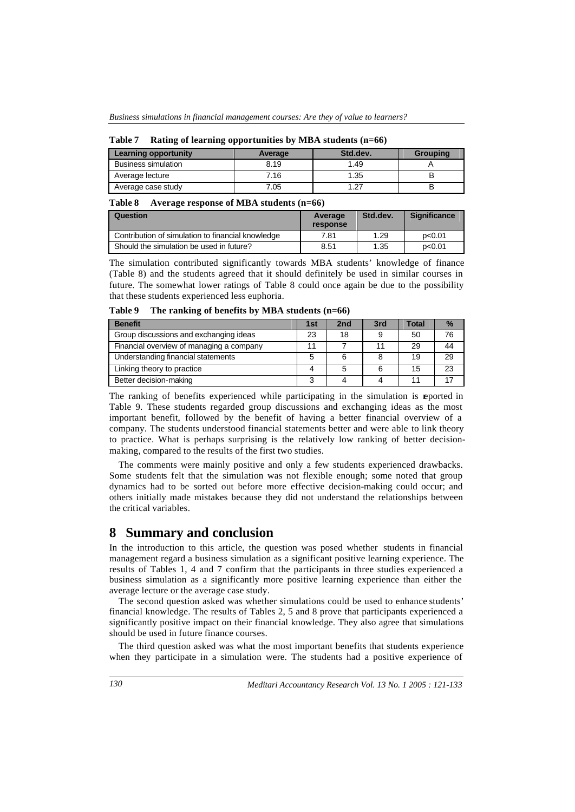*Business simulations in financial management courses: Are they of value to learners?*

| танг г<br>Ratting of real liting opportunities by MDA students (n=00) |         |          |          |  |  |  |
|-----------------------------------------------------------------------|---------|----------|----------|--|--|--|
| Learning opportunity                                                  | Average | Std.dev. | Grouping |  |  |  |
| <b>Business simulation</b>                                            | 8.19    | 1.49     |          |  |  |  |
| Average lecture                                                       | 7.16    | 1.35     |          |  |  |  |
| Average case study                                                    | 7.05    | 1.27     |          |  |  |  |

**Table 7 Rating of learning opportunities by MBA students (n=66)**

#### **Table 8 Average response of MBA students (n=66)**

| Question                                          | Average<br>response | Std.dev. | <b>Significance</b> |  |
|---------------------------------------------------|---------------------|----------|---------------------|--|
| Contribution of simulation to financial knowledge | 7.81                | 1.29     | p<0.01              |  |
| Should the simulation be used in future?          | 8.51                | 1.35     | p<0.01              |  |

The simulation contributed significantly towards MBA students' knowledge of finance (Table 8) and the students agreed that it should definitely be used in similar courses in future. The somewhat lower ratings of Table 8 could once again be due to the possibility that these students experienced less euphoria.

**Table 9 The ranking of benefits by MBA students (n=66)**

| <b>Benefit</b>                           | 1st | 2 <sub>nd</sub> | 3rd | <b>Total</b> | $\frac{9}{6}$ |
|------------------------------------------|-----|-----------------|-----|--------------|---------------|
| Group discussions and exchanging ideas   | 23  | 18              |     | 50           | 76            |
| Financial overview of managing a company |     |                 |     | 29           | 44            |
| Understanding financial statements       | 5   | 6               |     | 19           | 29            |
| Linking theory to practice               | 4   | 5               | ่ค  | 15           | 23            |
| Better decision-making                   | ≏   |                 |     | 11           |               |

The ranking of benefits experienced while participating in the simulation is reported in Table 9. These students regarded group discussions and exchanging ideas as the most important benefit, followed by the benefit of having a better financial overview of a company. The students understood financial statements better and were able to link theory to practice. What is perhaps surprising is the relatively low ranking of better decisionmaking, compared to the results of the first two studies.

The comments were mainly positive and only a few students experienced drawbacks. Some students felt that the simulation was not flexible enough; some noted that group dynamics had to be sorted out before more effective decision-making could occur; and others initially made mistakes because they did not understand the relationships between the critical variables.

#### **8 Summary and conclusion**

In the introduction to this article, the question was posed whether students in financial management regard a business simulation as a significant positive learning experience. The results of Tables 1, 4 and 7 confirm that the participants in three studies experienced a business simulation as a significantly more positive learning experience than either the average lecture or the average case study.

The second question asked was whether simulations could be used to enhance students' financial knowledge. The results of Tables 2, 5 and 8 prove that participants experienced a significantly positive impact on their financial knowledge. They also agree that simulations should be used in future finance courses.

The third question asked was what the most important benefits that students experience when they participate in a simulation were. The students had a positive experience of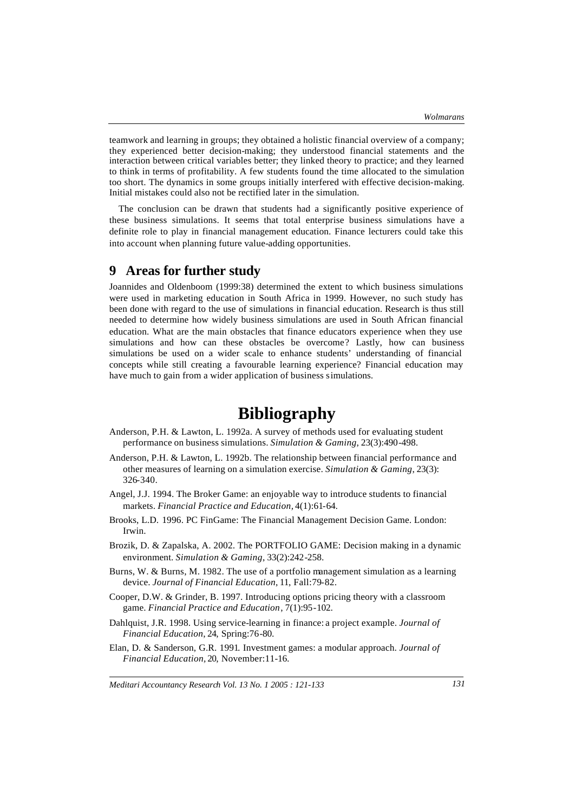teamwork and learning in groups; they obtained a holistic financial overview of a company; they experienced better decision-making; they understood financial statements and the interaction between critical variables better; they linked theory to practice; and they learned to think in terms of profitability. A few students found the time allocated to the simulation too short. The dynamics in some groups initially interfered with effective decision-making. Initial mistakes could also not be rectified later in the simulation.

The conclusion can be drawn that students had a significantly positive experience of these business simulations. It seems that total enterprise business simulations have a definite role to play in financial management education. Finance lecturers could take this into account when planning future value-adding opportunities.

#### **9 Areas for further study**

Joannides and Oldenboom (1999:38) determined the extent to which business simulations were used in marketing education in South Africa in 1999. However, no such study has been done with regard to the use of simulations in financial education. Research is thus still needed to determine how widely business simulations are used in South African financial education. What are the main obstacles that finance educators experience when they use simulations and how can these obstacles be overcome? Lastly, how can business simulations be used on a wider scale to enhance students' understanding of financial concepts while still creating a favourable learning experience? Financial education may have much to gain from a wider application of business simulations.

# **Bibliography**

- Anderson, P.H. & Lawton, L. 1992a. A survey of methods used for evaluating student performance on business simulations. *Simulation & Gaming*, 23(3):490-498.
- Anderson, P.H. & Lawton, L. 1992b. The relationship between financial performance and other measures of learning on a simulation exercise. *Simulation & Gaming*, 23(3): 326-340.
- Angel, J.J. 1994. The Broker Game: an enjoyable way to introduce students to financial markets. *Financial Practice and Education,* 4(1):61-64.
- Brooks, L.D. 1996. PC FinGame: The Financial Management Decision Game. London: Irwin.
- Brozik, D. & Zapalska, A. 2002. The PORTFOLIO GAME: Decision making in a dynamic environment. *Simulation & Gaming*, 33(2):242-258.
- Burns, W. & Burns, M. 1982. The use of a portfolio management simulation as a learning device. *Journal of Financial Education*, 11, Fall:79-82.
- Cooper, D.W. & Grinder, B. 1997. Introducing options pricing theory with a classroom game. *Financial Practice and Education*, 7(1):95-102.
- Dahlquist, J.R. 1998. Using service-learning in finance: a project example. *Journal of Financial Education*, 24, Spring:76-80.
- Elan, D. & Sanderson, G.R. 1991*.* Investment games: a modular approach. *Journal of Financial Education,* 20, November:11-16.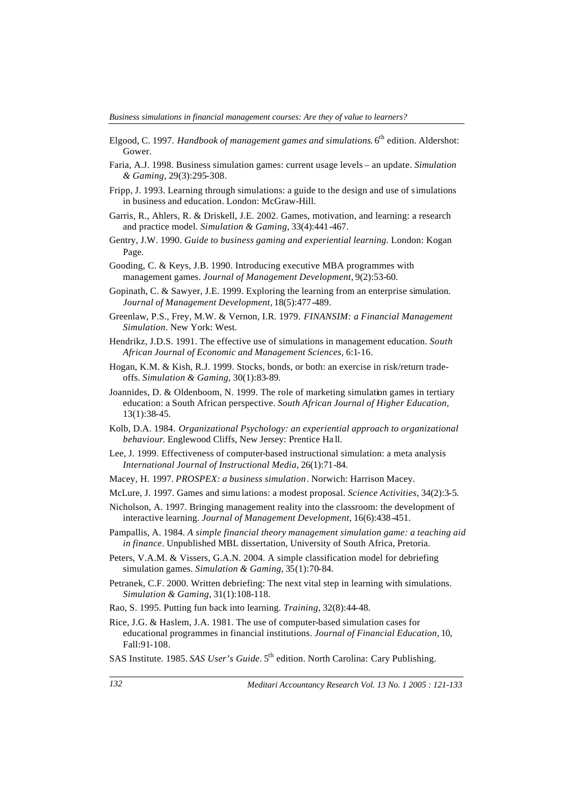- Elgood, C. 1997. *Handbook of management games and simulations*. 6<sup>th</sup> edition. Aldershot: Gower.
- Faria, A.J. 1998. Business simulation games: current usage levels an update. *Simulation & Gaming*, 29(3):295-308.
- Fripp, J. 1993. Learning through simulations: a guide to the design and use of simulations in business and education. London: McGraw-Hill.
- Garris, R., Ahlers, R. & Driskell, J.E. 2002. Games, motivation, and learning: a research and practice model. *Simulation & Gaming*, 33(4):441-467.
- Gentry, J.W. 1990. *Guide to business gaming and experiential learning*. London: Kogan Page.
- Gooding, C. & Keys, J.B. 1990. Introducing executive MBA programmes with management games. *Journal of Management Development,* 9(2):53-60.
- Gopinath, C. & Sawyer, J.E. 1999. Exploring the learning from an enterprise simulation. *Journal of Management Development,* 18(5):477-489.
- Greenlaw, P.S., Frey, M.W. & Vernon, I.R. 1979. *FINANSIM: a Financial Management Simulation*. New York: West.
- Hendrikz, J.D.S. 1991. The effective use of simulations in management education. *South African Journal of Economic and Management Sciences*, 6:1-16.
- Hogan, K.M. & Kish, R.J. 1999. Stocks, bonds, or both: an exercise in risk/return tradeoffs. *Simulation & Gaming*, 30(1):83-89.
- Joannides, D. & Oldenboom, N. 1999. The role of marketing simulation games in tertiary education: a South African perspective. *South African Journal of Higher Education,* 13(1):38-45.
- Kolb, D.A. 1984. *Organizational Psychology: an experiential approach to organizational behaviour*. Englewood Cliffs, New Jersey: Prentice Ha ll.
- Lee, J. 1999. Effectiveness of computer-based instructional simulation: a meta analysis *International Journal of Instructional Media*, 26(1):71-84.
- Macey, H. 1997. *PROSPEX: a business simulation*. Norwich: Harrison Macey.
- McLure, J. 1997. Games and simu lations: a modest proposal. *Science Activities*, 34(2):3-5.
- Nicholson, A. 1997. Bringing management reality into the classroom: the development of interactive learning. *Journal of Management Development*, 16(6):438-451.
- Pampallis, A. 1984. *A simple financial theory management simulation game: a teaching aid in finance*. Unpublished MBL dissertation, University of South Africa, Pretoria.
- Peters, V.A.M. & Vissers, G.A.N. 2004. A simple classification model for debriefing simulation games. *Simulation & Gaming*, 35(1):70-84.
- Petranek, C.F. 2000. Written debriefing: The next vital step in learning with simulations. *Simulation & Gaming*, 31(1):108-118.
- Rao, S. 1995. Putting fun back into learning. *Training*, 32(8):44-48.
- Rice, J.G. & Haslem, J.A. 1981. The use of computer-based simulation cases for educational programmes in financial institutions. *Journal of Financial Education*, 10, Fall:91-108.
- SAS Institute. 1985. *SAS User's Guide*. 5<sup>th</sup> edition. North Carolina: Cary Publishing.